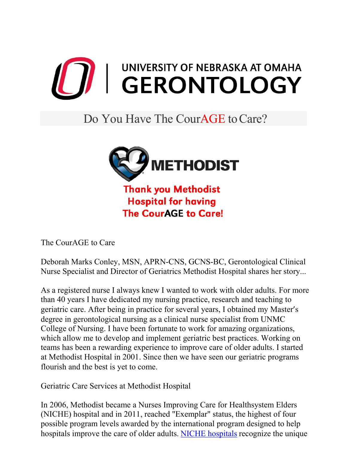

## Do You Have The Cour**AGE** to Care?



**Thank you Methodist Hospital for having The CourAGE to Care!** 

The CourAGE to Care

Deborah Marks Conley, MSN, APRN-CNS, GCNS-BC, Gerontological Clinical Nurse Specialist and Director of Geriatrics Methodist Hospital shares her story...

As a registered nurse I always knew I wanted to work with older adults. For more than 40 years I have dedicated my nursing practice, research and teaching to geriatric care. After being in practice for several years, I obtained my Master's degree in gerontological nursing as a clinical nurse specialist from UNMC College of Nursing. I have been fortunate to work for amazing organizations, which allow me to develop and implement geriatric best practices. Working on teams has been a rewarding experience to improve care of older adults. I started at Methodist Hospital in 2001. Since then we have seen our geriatric programs flourish and the best is yet to come.

Geriatric Care Services at Methodist Hospital

In 2006, Methodist became a Nurses Improving Care for Healthsystem Elders (NICHE) hospital and in 2011, reached "Exemplar" status, the highest of four possible program levels awarded by the international program designed to help hospitals improve the care of older adults. [NICHE hospitals](https://www.bestcare.org/methodist-hospital/services/geriatric-services/) recognize the unique